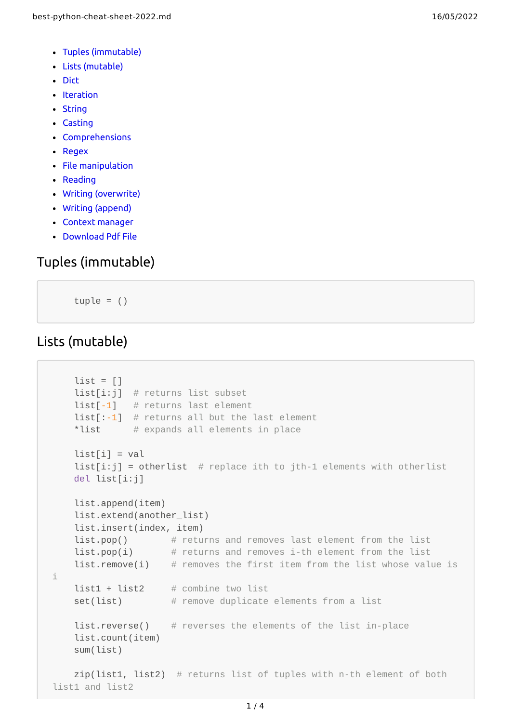- Tuples [\(immutable\)](#page-0-0)
- Lists [\(mutable\)](#page-0-1)
- [Dict](#page-1-0)
- [Iteration](#page-1-1)
- [String](#page-1-2)
- [Casting](#page-2-0)
- [Comprehensions](#page-2-1)
- [Regex](#page-2-2)
- File [manipulation](#page-2-3)
- [Reading](#page-3-0)
- Writing [\(overwrite\)](#page-3-1)
- Writing [\(append\)](#page-3-2)
- Context [manager](#page-3-3)
- [Download](#page-3-4) Pdf File

## <span id="page-0-0"></span>Tuples (immutable)

tuple  $=$  ()

### <span id="page-0-1"></span>Lists (mutable)

```
list = []
    list[i:j] # returns list subset
   list[-1] # returns last element
   list[:-1] # returns all but the last element
    *list # expands all elements in place
   list[i] = vallist[i:j] = otherlist # replace ith to jth-1 elements with otherlist
    del list[i:j]
    list.append(item)
   list.extend(another list)
    list.insert(index, item)
   list.pop() # returns and removes last element from the list
   list.pop(i) # returns and removes i-th element from the list
   list.remove(i) # removes the first item from the list whose value is
i
   list1 + list2 # combine two list
   set(list) # remove duplicate elements from a list
   list.reverse() # reverses the elements of the list in-place
    list.count(item)
    sum(list)
   zip(list1, list2) # returns list of tuples with n-th element of both
list1 and list2
```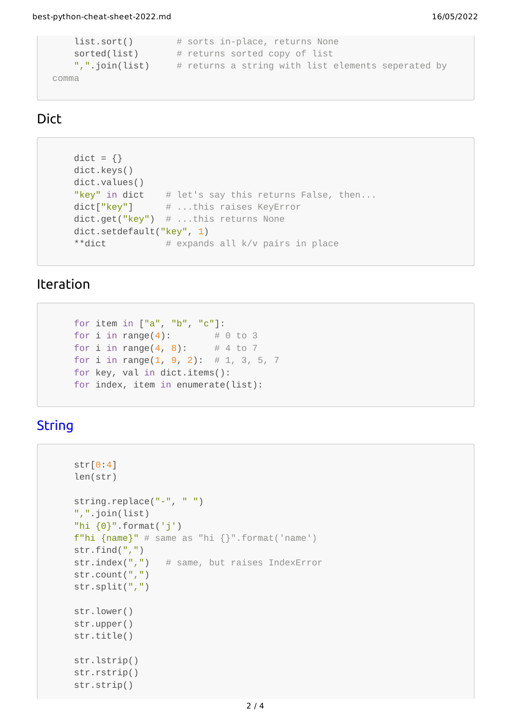```
list.sort() # sorts in-place, returns None
   sorted(list) # returns sorted copy of list
   ",".join(list) # returns a string with list elements seperated by
comma
```
### <span id="page-1-0"></span>Dict

```
dict = \{\} dict.keys()
 dict.values()
"key" in dict # let's say this returns False, then...
dict["key"] # ...this raises KeyError
dict.get("key") # ...this returns None
dict.setdefault("key", 1)
**dict # expands all k/v pairs in place
```
### <span id="page-1-1"></span>Iteration

```
 for item in ["a", "b", "c"]:
for i in range(4): \# 0 to 3
for i in range(4, 8): # 4 to 7
   for i in range(1, 9, 2): # 1, 3, 5, 7
    for key, val in dict.items():
    for index, item in enumerate(list):
```
## <span id="page-1-2"></span>**[String](https://docs.python.org/2/library/stdtypes.html#string-methods)**

```
 str[0:4]
 len(str)
 string.replace("-", " ")
 ",".join(list)
"hi \{0\}".format('j')
f"hi {name}" # same as "hi {}'".format('name')
 str.find(",")
str.index(",") \# same, but raises IndexError
 str.count(",")
 str.split(",")
 str.lower()
 str.upper()
 str.title()
 str.lstrip()
 str.rstrip()
 str.strip()
```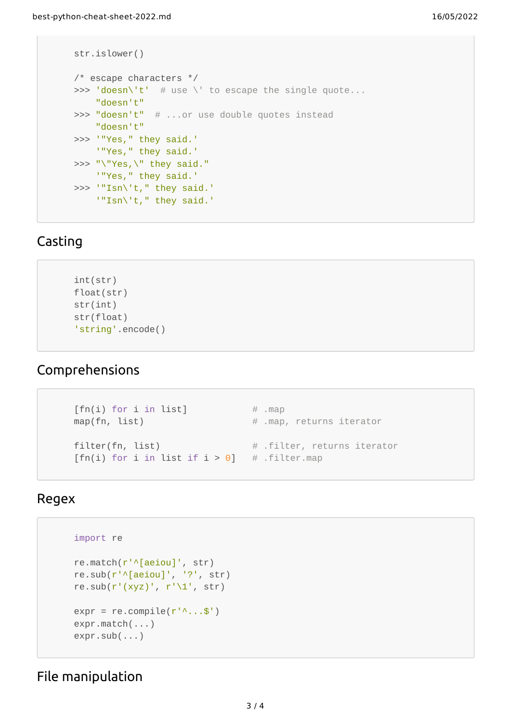```
 str.islower()
 /* escape characters */
>>> 'doesn\'t' # use \' to escape the single quote...
     "doesn't"
>>> "doesn't" # ...or use double quotes instead
    "doesn't"
 >>> '"Yes," they said.'
    '"Yes," they said.'
 >>> "\"Yes,\" they said."
    '"Yes," they said.'
 >>> '"Isn\'t," they said.'
    '"Isn\'t," they said.'
```
### <span id="page-2-0"></span>Casting

```
 int(str)
 float(str)
 str(int)
 str(float)
 'string'.encode()
```
### <span id="page-2-1"></span>Comprehensions

```
[fn(i) for i in list] # .map
map(fn, list) # .map, returns iterator
filter(fn, list) # .filter, returns iterator
[fn(i) for i in list if i > 0] # .filter.map
```
#### <span id="page-2-2"></span>Regex

```
 import re
 re.match(r'^[aeiou]', str)
 re.sub(r'^[aeiou]', '?', str)
re.sub(r'(xyz)', r' \1', str)
expr = re.compile(r'^{\wedge}...$')
 expr.match(...)
 expr.sub(...)
```
### <span id="page-2-3"></span>File manipulation